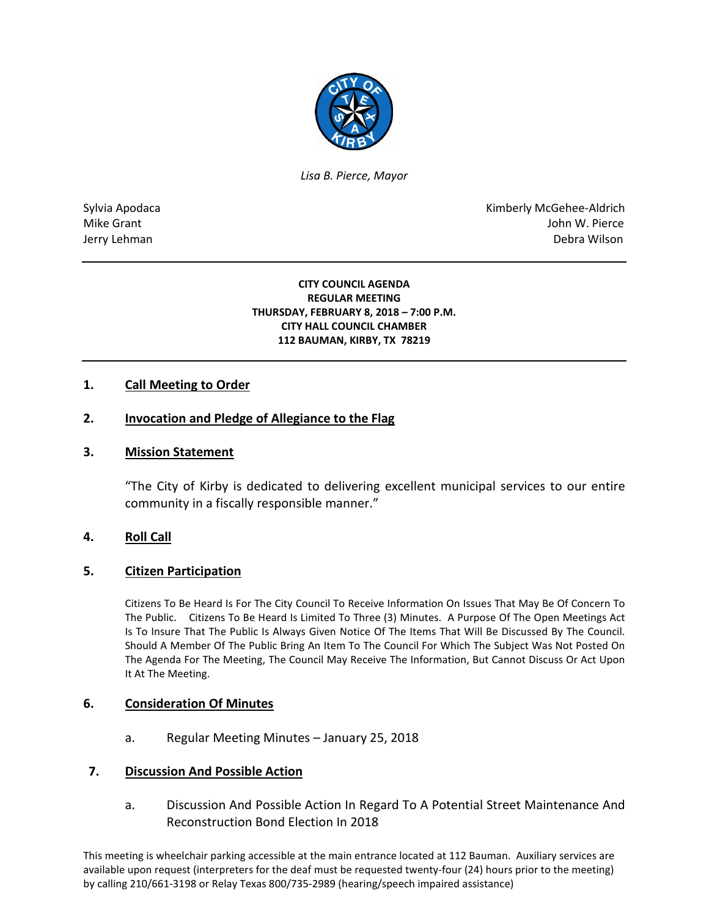

*Lisa B. Pierce, Mayor* 

Sylvia Apodaca National Apodaca Kimberly McGehee-Aldrich Mike Grant John W. Pierce Jerry Lehman Debra Wilson (2008) and the state of the state of the state of the state of the state of the state of the state of the state of the state of the state of the state of the state of the state of the state of the

#### **CITY COUNCIL AGENDA REGULAR MEETING THURSDAY, FEBRUARY 8, 2018 – 7:00 P.M. CITY HALL COUNCIL CHAMBER 112 BAUMAN, KIRBY, TX 78219**

# **1. Call Meeting to Order**

# **2. Invocation and Pledge of Allegiance to the Flag**

### **3. Mission Statement**

"The City of Kirby is dedicated to delivering excellent municipal services to our entire community in a fiscally responsible manner."

#### **4. Roll Call**

#### **5. Citizen Participation**

Citizens To Be Heard Is For The City Council To Receive Information On Issues That May Be Of Concern To The Public. Citizens To Be Heard Is Limited To Three (3) Minutes. A Purpose Of The Open Meetings Act Is To Insure That The Public Is Always Given Notice Of The Items That Will Be Discussed By The Council. Should A Member Of The Public Bring An Item To The Council For Which The Subject Was Not Posted On The Agenda For The Meeting, The Council May Receive The Information, But Cannot Discuss Or Act Upon It At The Meeting.

#### **6. Consideration Of Minutes**

a. Regular Meeting Minutes – January 25, 2018

### **7. Discussion And Possible Action**

a. Discussion And Possible Action In Regard To A Potential Street Maintenance And Reconstruction Bond Election In 2018

This meeting is wheelchair parking accessible at the main entrance located at 112 Bauman. Auxiliary services are available upon request (interpreters for the deaf must be requested twenty-four (24) hours prior to the meeting) by calling 210/661-3198 or Relay Texas 800/735-2989 (hearing/speech impaired assistance)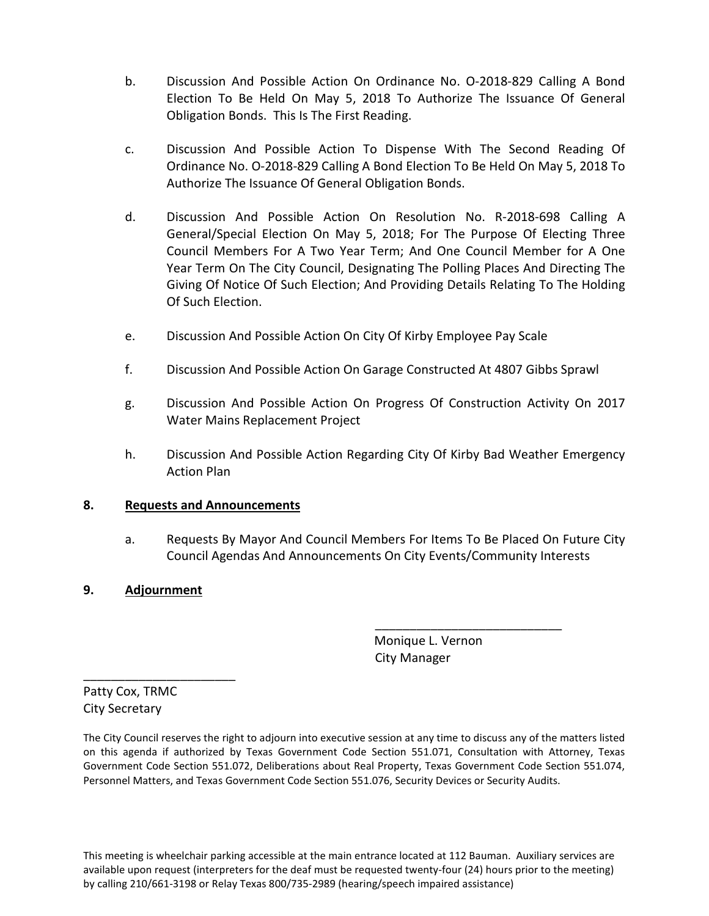- b. Discussion And Possible Action On Ordinance No. O-2018-829 Calling A Bond Election To Be Held On May 5, 2018 To Authorize The Issuance Of General Obligation Bonds. This Is The First Reading.
- c. Discussion And Possible Action To Dispense With The Second Reading Of Ordinance No. O-2018-829 Calling A Bond Election To Be Held On May 5, 2018 To Authorize The Issuance Of General Obligation Bonds.
- d. Discussion And Possible Action On Resolution No. R-2018-698 Calling A General/Special Election On May 5, 2018; For The Purpose Of Electing Three Council Members For A Two Year Term; And One Council Member for A One Year Term On The City Council, Designating The Polling Places And Directing The Giving Of Notice Of Such Election; And Providing Details Relating To The Holding Of Such Election.
- e. Discussion And Possible Action On City Of Kirby Employee Pay Scale
- f. Discussion And Possible Action On Garage Constructed At 4807 Gibbs Sprawl
- g. Discussion And Possible Action On Progress Of Construction Activity On 2017 Water Mains Replacement Project
- h. Discussion And Possible Action Regarding City Of Kirby Bad Weather Emergency Action Plan

# **8. Requests and Announcements**

a. Requests By Mayor And Council Members For Items To Be Placed On Future City Council Agendas And Announcements On City Events/Community Interests

# **9. Adjournment**

\_\_\_\_\_\_\_\_\_\_\_\_\_\_\_\_\_\_\_\_\_\_

 Monique L. Vernon City Manager

\_\_\_\_\_\_\_\_\_\_\_\_\_\_\_\_\_\_\_\_\_\_\_\_\_\_\_

Patty Cox, TRMC City Secretary

The City Council reserves the right to adjourn into executive session at any time to discuss any of the matters listed on this agenda if authorized by Texas Government Code Section 551.071, Consultation with Attorney, Texas Government Code Section 551.072, Deliberations about Real Property, Texas Government Code Section 551.074, Personnel Matters, and Texas Government Code Section 551.076, Security Devices or Security Audits.

This meeting is wheelchair parking accessible at the main entrance located at 112 Bauman. Auxiliary services are available upon request (interpreters for the deaf must be requested twenty-four (24) hours prior to the meeting) by calling 210/661-3198 or Relay Texas 800/735-2989 (hearing/speech impaired assistance)